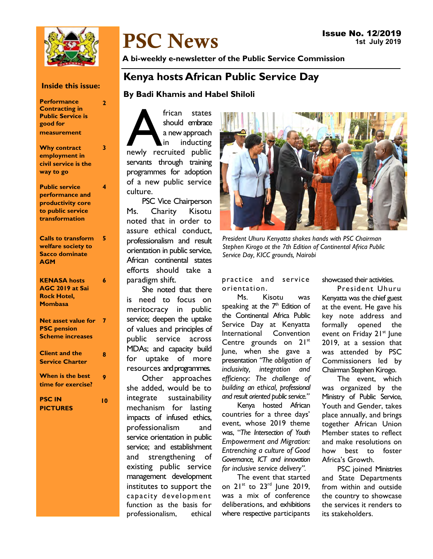

# PSC News

A bi-weekly e-newsletter of the Public Service Commission

# Kenya hosts African Public Service Day

By Badi Khamis and Habel Shiloli

frican states<br>
should embrace<br>
a new approach<br>
in inducting<br>
newly recruited public should embrace a new approach in inducting servants through training programmes for adoption of a new public service culture.

PSC Vice Chairperson Ms. Charity Kisotu noted that in order to assure ethical conduct, professionalism and result orientation in public service, African continental states efforts should take a paradigm shift.

She noted that there is need to focus on meritocracy in public service; deepen the uptake of values and principles of public service across MDAs; and capacity build for uptake of more resources and programmes.

Other approaches she added, would be to integrate sustainability mechanism for lasting impacts of infused ethics, professionalism and service orientation in public service; and establishment and strengthening of existing public service management development institutes to support the capacity development function as the basis for professionalism, ethical



President Uhuru Kenyatta shakes hands with PSC Chairman Stephen Kirogo at the 7th Edition of Continental Africa Public Service Day, KICC grounds, Nairobi

practice and service orientation.

Ms. Kisotu was speaking at the  $7<sup>th</sup>$  Edition of the Continental Africa Public Service Day at Kenyatta International Convention Centre grounds on 21st June, when she gave a presentation "The obligation of inclusivity, integration and efficiency: The challenge of building an ethical, professional and result oriented public service."

Kenya hosted African countries for a three days' event, whose 2019 theme was, "The Intersection of Youth Empowerment and Migration: Entrenching a culture of Good Governance, ICT and innovation for inclusive service delivery".

The event that started on  $21^{st}$  to  $23^{rd}$  June 2019, was a mix of conference deliberations, and exhibitions where respective participants showcased their activities.

President Uhuru Kenyatta was the chief guest at the event. He gave his key note address and formally opened the event on Friday 21<sup>st</sup> June 2019, at a session that was attended by PSC Commissioners led by Chairman Stephen Kirogo.

The event, which was organized by the Ministry of Public Service, Youth and Gender, takes place annually, and brings together African Union Member states to reflect and make resolutions on how best to foster Africa's Growth.

PSC joined Ministries and State Departments from within and outside the country to showcase the services it renders to its stakeholders.

## Inside this issue:

2

3

4

**Performance** Contracting in Public Service is good for measurement

| Why contract         |
|----------------------|
| employment in        |
| civil service is the |
| way to go            |

#### Public service performance and productivity core to public service transformation

| <b>Calls to transform</b> | 5 |
|---------------------------|---|
| welfare society to        |   |
| <b>Sacco dominate</b>     |   |
| AGM                       |   |
|                           |   |

#### KENASA hosts AGC 2019 at Sai Rock Hotel, **Mombasa** 6

| Net asset value for<br><b>PSC</b> pension<br><b>Scheme increases</b> | 7 |
|----------------------------------------------------------------------|---|
| <b>Client and the</b><br><b>Service Charter</b>                      | ω |
| <b>When is the best</b>                                              |   |

PSC IN **PICTURES** 10

time for exercise?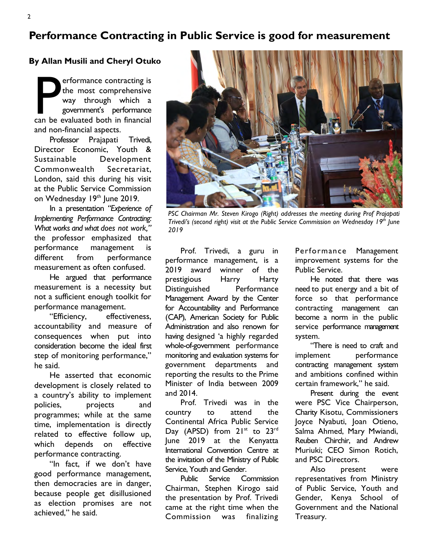# Performance Contracting in Public Service is good for measurement

## By Allan Musili and Cheryl Otuko

P erformance contracting is<br>
the most comprehensive<br>
way through which a<br>
government's performance<br>
can be evaluated both in financial the most comprehensive way through which a government's performance and non-financial aspects.

Professor Prajapati Trivedi, Director Economic, Youth & Sustainable Development Commonwealth Secretariat, London, said this during his visit at the Public Service Commission on Wednesday 19th June 2019.

In a presentation "Experience of Implementing Performance Contracting: What works and what does not work," the professor emphasized that performance management is different from performance measurement as often confused.

He argued that performance measurement is a necessity but not a sufficient enough toolkit for performance management.

"Efficiency, effectiveness, accountability and measure of consequences when put into consideration become the ideal first step of monitoring performance," he said.

He asserted that economic development is closely related to a country's ability to implement policies, projects and programmes; while at the same time, implementation is directly related to effective follow up, which depends on effective performance contracting.

"In fact, if we don't have good performance management, then democracies are in danger, because people get disillusioned as election promises are not achieved," he said.



PSC Chairman Mr. Steven Kirogo (Right) addresses the meeting during Prof Prajapati Trivedi's (second right) visit at the Public Service Commission on Wednesday 19<sup>th</sup> June 2019

Prof. Trivedi, a guru in performance management, is a 2019 award winner of the prestigious Harry Harty Distinguished Performance Management Award by the Center for Accountability and Performance (CAP), American Society for Public Administration and also renown for having designed 'a highly regarded whole-of-government performance monitoring and evaluation systems for government departments and reporting the results to the Prime Minister of India between 2009 and 2014.

Prof. Trivedi was in the country to attend the Continental Africa Public Service Day (APSD) from 21<sup>st</sup> to 23<sup>rd</sup> June 2019 at the Kenyatta International Convention Centre at the invitation of the Ministry of Public Service, Youth and Gender.

Public Service Commission Chairman, Stephen Kirogo said the presentation by Prof. Trivedi came at the right time when the Commission was finalizing

Performance Management improvement systems for the Public Service.

He noted that there was need to put energy and a bit of force so that performance contracting management can become a norm in the public service performance management system.

"There is need to craft and implement performance contracting management system and ambitions confined within certain framework," he said.

Present during the event were PSC Vice Chairperson, Charity Kisotu, Commissioners Joyce Nyabuti, Joan Otieno, Salma Ahmed, Mary Mwiandi, Reuben Chirchir, and Andrew Muriuki; CEO Simon Rotich, and PSC Directors.

Also present were representatives from Ministry of Public Service, Youth and Gender, Kenya School of Government and the National Treasury.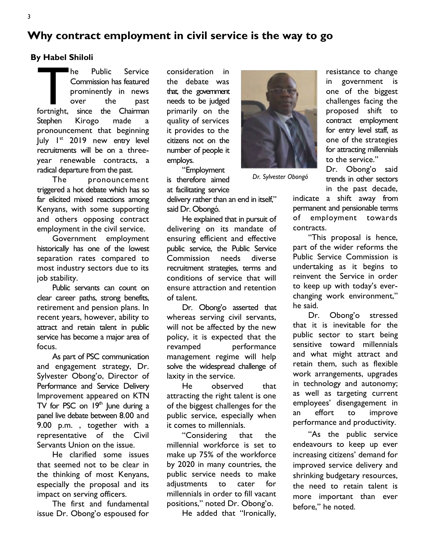Why contract employment in civil service is the way to go

### By Habel Shiloli

The Public Service<br>
Commission has featured<br>
prominently in news<br>
over the past<br>
fortnight, since the Chairman Commission has featured prominently in news over the past Stephen Kirogo made a pronouncement that beginning July 1<sup>st</sup> 2019 new entry level recruitments will be on a threeyear renewable contracts, a radical departure from the past.

The pronouncement triggered a hot debate which has so far elicited mixed reactions among Kenyans, with some supporting and others opposing contract employment in the civil service.

Government employment historically has one of the lowest separation rates compared to most industry sectors due to its job stability.

Public servants can count on clear career paths, strong benefits, retirement and pension plans. In recent years, however, ability to attract and retain talent in public service has become a major area of focus.

As part of PSC communication and engagement strategy, Dr. Sylvester Obong'o, Director of Performance and Service Delivery Improvement appeared on KTN TV for PSC on  $19<sup>th</sup>$  June during a panel live debate between 8.00 and 9.00 p.m. , together with a representative of the Civil Servants Union on the issue.

He clarified some issues that seemed not to be clear in the thinking of most Kenyans, especially the proposal and its impact on serving officers.

The first and fundamental issue Dr. Obong'o espoused for

consideration in the debate was that, the government needs to be judged primarily on the quality of services it provides to the citizens not on the number of people it employs.

"Employment is therefore aimed at facilitating service

delivery rather than an end in itself," said Dr. Obongó.

He explained that in pursuit of delivering on its mandate of ensuring efficient and effective public service, the Public Service Commission needs diverse recruitment strategies, terms and conditions of service that will ensure attraction and retention of talent.

Dr. Obong'o asserted that whereas serving civil servants, will not be affected by the new policy, it is expected that the revamped performance management regime will help solve the widespread challenge of laxity in the service.

He observed that attracting the right talent is one of the biggest challenges for the public service, especially when it comes to millennials.

"Considering that the millennial workforce is set to make up 75% of the workforce by 2020 in many countries, the public service needs to make adjustments to cater for millennials in order to fill vacant positions," noted Dr. Obong'o.

He added that "Ironically,

in government is one of the biggest challenges facing the proposed shift to contract employment for entry level staff, as one of the strategies for attracting millennials to the service."

Dr. Obong'o said trends in other sectors in the past decade,

resistance to change

indicate a shift away from permanent and pensionable terms of employment towards contracts.

"This proposal is hence, part of the wider reforms the Public Service Commission is undertaking as it begins to reinvent the Service in order to keep up with today's everchanging work environment," he said.

Dr. Obong'o stressed that it is inevitable for the public sector to start being sensitive toward millennials and what might attract and retain them, such as flexible work arrangements, upgrades in technology and autonomy; as well as targeting current employees' disengagement in an effort to improve performance and productivity.

"As the public service endeavours to keep up ever increasing citizens' demand for improved service delivery and shrinking budgetary resources, the need to retain talent is more important than ever before," he noted.

Dr. Sylvester Obongó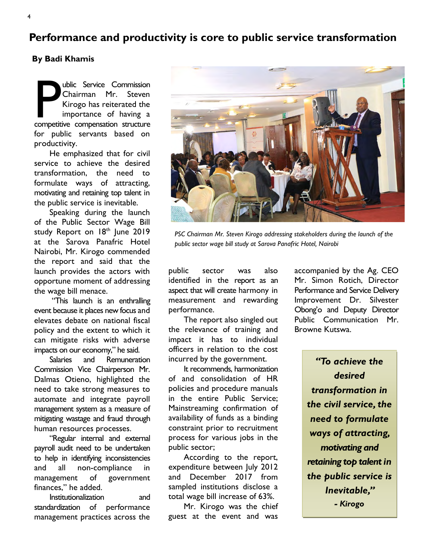Performance and productivity is core to public service transformation

## By Badi Khamis

**P ublic Service Commission**<br>
Chairman Mr. Steven<br>
Kirogo has reiterated the<br>
importance of having a<br>
competitive compensation structure Chairman Mr. Steven Kirogo has reiterated the importance of having a for public servants based on productivity.

He emphasized that for civil service to achieve the desired transformation, the need to formulate ways of attracting, motivating and retaining top talent in the public service is inevitable.

Speaking during the launch of the Public Sector Wage Bill study Report on 18th June 2019 at the Sarova Panafric Hotel Nairobi, Mr. Kirogo commended the report and said that the launch provides the actors with opportune moment of addressing the wage bill menace.

 "This launch is an enthralling event because it places new focus and elevates debate on national fiscal policy and the extent to which it can mitigate risks with adverse impacts on our economy," he said.

Salaries and Remuneration Commission Vice Chairperson Mr. Dalmas Otieno, highlighted the need to take strong measures to automate and integrate payroll management system as a measure of mitigating wastage and fraud through human resources processes.

"Regular internal and external payroll audit need to be undertaken to help in identifying inconsistencies and all non-compliance in management of government finances," he added.

Institutionalization and standardization of performance management practices across the

public sector was also PSC Chairman Mr. Steven Kirogo addressing stakeholders during the launch of the public sector wage bill study at Sarova Panafric Hotel, Nairobi

identified in the report as an aspect that will create harmony in measurement and rewarding performance.

The report also singled out the relevance of training and impact it has to individual officers in relation to the cost incurred by the government.

It recommends, harmonization of and consolidation of HR policies and procedure manuals in the entire Public Service; Mainstreaming confirmation of availability of funds as a binding constraint prior to recruitment process for various jobs in the public sector;

According to the report, expenditure between July 2012 and December 2017 from sampled institutions disclose a total wage bill increase of 63%.

Mr. Kirogo was the chief guest at the event and was

accompanied by the Ag. CEO Mr. Simon Rotich, Director Performance and Service Delivery Improvement Dr. Silvester Obong'o and Deputy Director Public Communication Mr. Browne Kutswa.

> "To achieve the desired transformation in the civil service, the need to formulate ways of attracting, motivating and retaining top talent in the public service is Inevitable," - Kirogo



4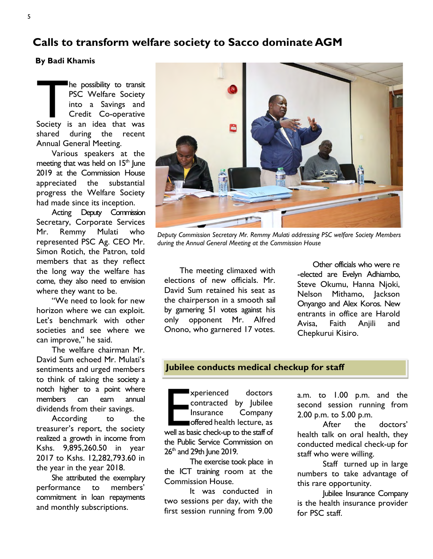## Calls to transform welfare society to Sacco dominate AGM

#### By Badi Khamis

The possibility to transit<br>
PSC Welfare Society<br>
into a Savings and<br>
Credit Co-operative<br>
Society is an idea that was PSC Welfare Society into a Savings and Credit Co-operative shared during the recent Annual General Meeting.

Various speakers at the meeting that was held on  $15<sup>th</sup>$  June 2019 at the Commission House appreciated the substantial progress the Welfare Society had made since its inception.

Acting Deputy Commission Secretary, Corporate Services Mr. Remmy Mulati who represented PSC Ag. CEO Mr. Simon Rotich, the Patron, told members that as they reflect the long way the welfare has come, they also need to envision where they want to be.

"We need to look for new horizon where we can exploit. Let's benchmark with other societies and see where we can improve," he said.

The welfare chairman Mr. David Sum echoed Mr. Mulati's sentiments and urged members to think of taking the society a notch higher to a point where members can earn annual dividends from their savings.

According to the treasurer's report, the society realized a growth in income from Kshs. 9,895,260.50 in year 2017 to Kshs. 12,282,793.60 in the year in the year 2018.

She attributed the exemplary performance to members' commitment in loan repayments and monthly subscriptions.



Deputy Commission Secretary Mr. Remmy Mulati addressing PSC welfare Society Members during the Annual General Meeting at the Commission House

The meeting climaxed with elections of new officials. Mr. David Sum retained his seat as the chairperson in a smooth sail by garnering 51 votes against his only opponent Mr. Alfred Onono, who garnered 17 votes.

Other officials who were re -elected are Evelyn Adhiambo, Steve Okumu, Hanna Njoki, Nelson Mithamo, Jackson Onyango and Alex Koros. New entrants in office are Harold Avisa, Faith Anjili and Chepkurui Kisiro.

## Jubilee conducts medical checkup for staff

xperienced doctors<br>
contracted by Jubilee<br>
Insurance Company<br>
offered health lecture, as<br>
well as basic check-up to the staff of contracted by Jubilee Insurance Company offered health lecture, as the Public Service Commission on  $26<sup>th</sup>$  and  $29th$  June  $2019$ .

The exercise took place in the ICT training room at the Commission House.

It was conducted in two sessions per day, with the first session running from 9.00 a.m. to 1.00 p.m. and the second session running from 2.00 p.m. to 5.00 p.m.

After the doctors' health talk on oral health, they conducted medical check-up for staff who were willing.

Staff turned up in large numbers to take advantage of this rare opportunity.

Jubilee Insurance Company is the health insurance provider for PSC staff.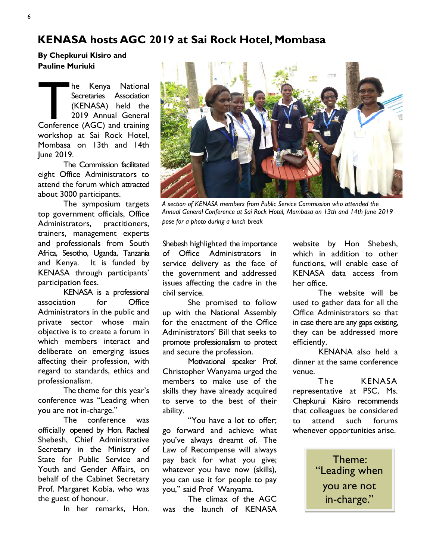# KENASA hosts AGC 2019 at Sai Rock Hotel, Mombasa

By Chepkurui Kisiro and Pauline Muriuki

The Kenya National<br>
Secretaries Association<br>
(KENASA) held the<br>
2019 Annual General<br>
Conference (AGC) and training Secretaries Association (KENASA) held the 2019 Annual General workshop at Sai Rock Hotel, Mombasa on 13th and 14th June 2019.

The Commission facilitated eight Office Administrators to attend the forum which attracted about 3000 participants.

The symposium targets top government officials, Office Administrators, practitioners, trainers, management experts and professionals from South Africa, Sesotho, Uganda, Tanzania and Kenya. It is funded by KENASA through participants' participation fees.

KENASA is a professional association for Office Administrators in the public and private sector whose main objective is to create a forum in which members interact and deliberate on emerging issues affecting their profession, with regard to standards, ethics and professionalism.

The theme for this year's conference was "Leading when you are not in-charge."

The conference was officially opened by Hon. Racheal Shebesh, Chief Administrative Secretary in the Ministry of State for Public Service and Youth and Gender Affairs, on behalf of the Cabinet Secretary Prof. Margaret Kobia, who was the guest of honour.

In her remarks, Hon.



A section of KENASA members from Public Service Commission who attended the Annual General Conference at Sai Rock Hotel, Mombasa on 13th and 14th June 2019 pose for a photo during a lunch break

Shebesh highlighted the importance of Office Administrators in service delivery as the face of the government and addressed issues affecting the cadre in the civil service.

She promised to follow up with the National Assembly for the enactment of the Office Administrators' Bill that seeks to promote professionalism to protect and secure the profession.

 Motivational speaker Prof. Christopher Wanyama urged the members to make use of the skills they have already acquired to serve to the best of their ability.

"You have a lot to offer; go forward and achieve what you've always dreamt of. The Law of Recompense will always pay back for what you give; whatever you have now (skills), you can use it for people to pay you," said Prof Wanyama.

The climax of the AGC was the launch of KENASA website by Hon Shebesh, which in addition to other functions, will enable ease of KENASA data access from her office.

The website will be used to gather data for all the Office Administrators so that in case there are any gaps existing, they can be addressed more efficiently.

KENANA also held a dinner at the same conference venue.

The KENASA representative at PSC, Ms. Chepkurui Kisiro recommends that colleagues be considered to attend such forums whenever opportunities arise.

> Theme: "Leading when you are not in-charge."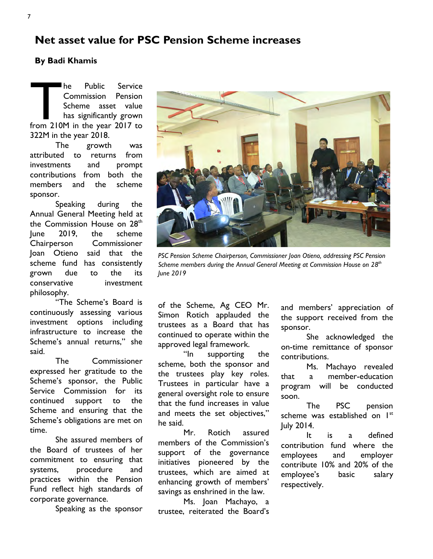## Net asset value for PSC Pension Scheme increases

## By Badi Khamis

The Public Service<br>
Commission Pension<br>
Scheme asset value<br>
has significantly grown<br>
from 210M in the year 2017 to Commission Pension Scheme asset value has significantly grown 322M in the year 2018.

The growth was attributed to returns from investments and prompt contributions from both the members and the scheme sponsor.

Speaking during the Annual General Meeting held at the Commission House on 28th June 2019, the scheme Chairperson Commissioner Joan Otieno said that the scheme fund has consistently grown due to the its conservative investment philosophy.

"The Scheme's Board is continuously assessing various investment options including infrastructure to increase the Scheme's annual returns," she said.

The Commissioner expressed her gratitude to the Scheme's sponsor, the Public Service Commission for its continued support to the Scheme and ensuring that the Scheme's obligations are met on time.

She assured members of the Board of trustees of her commitment to ensuring that systems, procedure and practices within the Pension Fund reflect high standards of corporate governance.

Speaking as the sponsor

PSC Pension Scheme Chairperson, Commissioner Joan Otieno, addressing PSC Pension

Scheme members during the Annual General Meeting at Commission House on  $28<sup>th</sup>$ June 2019

of the Scheme, Ag CEO Mr. Simon Rotich applauded the trustees as a Board that has continued to operate within the approved legal framework.

"In supporting the scheme, both the sponsor and the trustees play key roles. Trustees in particular have a general oversight role to ensure that the fund increases in value and meets the set objectives," he said.

Mr. Rotich assured members of the Commission's support of the governance initiatives pioneered by the trustees, which are aimed at enhancing growth of members' savings as enshrined in the law.

Ms. Joan Machayo, a trustee, reiterated the Board's

and members' appreciation of the support received from the sponsor.

She acknowledged the on-time remittance of sponsor contributions.

Ms. Machayo revealed that a member-education program will be conducted soon.

The PSC pension scheme was established on I<sup>st</sup> July 2014.

It is a defined contribution fund where the employees and employer contribute 10% and 20% of the employee's basic salary respectively.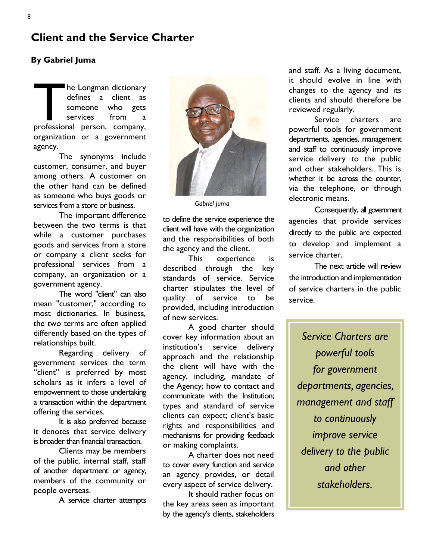# Client and the Service Charter

## By Gabriel Juma

The Longman dictionary<br>
defines a client as<br>
someone who gets<br>
services from a<br>
professional person, company, defines a client as someone who gets services from a organization or a government agency.

The synonyms include customer, consumer, and buyer among others. A customer on the other hand can be defined as someone who buys goods or services from a store or business.

The important difference between the two terms is that while a customer purchases goods and services from a store or company a client seeks for professional services from a company, an organization or a government agency.

The word "client" can also mean "customer," according to most dictionaries. In business, the two terms are often applied differently based on the types of relationships built.

Regarding delivery of government services the term "client" is preferred by most scholars as it infers a level of empowerment to those undertaking a transaction within the department offering the services.

It is also preferred because it denotes that service delivery is broader than financial transaction.

Clients may be members of the public, internal staff, staff of another department or agency, members of the community or people overseas.

A service charter attempts



Gabriel Juma

to define the service experience the client will have with the organization and the responsibilities of both the agency and the client.

This experience is described through the key standards of service. Service charter stipulates the level of quality of service to be provided, including introduction of new services.

A good charter should cover key information about an institution's service delivery approach and the relationship the client will have with the agency, including, mandate of the Agency; how to contact and communicate with the Institution; types and standard of service clients can expect; client's basic rights and responsibilities and mechanisms for providing feedback or making complaints.

A charter does not need to cover every function and service an agency provides, or detail every aspect of service delivery.

It should rather focus on the key areas seen as important by the agency's clients, stakeholders and staff. As a living document, it should evolve in line with changes to the agency and its clients and should therefore be reviewed regularly.

Service charters are powerful tools for government departments, agencies, management and staff to continuously improve service delivery to the public and other stakeholders. This is whether it be across the counter. via the telephone, or through electronic means.

Consequently, all government agencies that provide services directly to the public are expected to develop and implement a service charter.

The next article will review the introduction and implementation of service charters in the public service.

Service Charters are powerful tools for government departments, agencies, management and staff to continuously improve service delivery to the public and other stakeholders.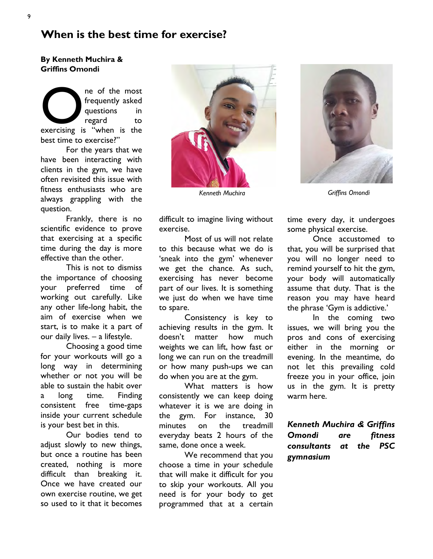## When is the best time for exercise?

By Kenneth Muchira & Griffins Omondi

exercising is "when is the same of the most frequently asked questions in regard to the most  $\frac{1}{2}$  to the most  $\frac{1}{2}$  to the most  $\frac{1}{2}$  to the most  $\frac{1}{2}$  to the most  $\frac{1}{2}$  to the most  $\frac{1}{2}$  to the mo frequently asked questions in regard to best time to exercise?"

For the years that we have been interacting with clients in the gym, we have often revisited this issue with fitness enthusiasts who are always grappling with the question.

Frankly, there is no scientific evidence to prove that exercising at a specific time during the day is more effective than the other.

This is not to dismiss the importance of choosing your preferred time of working out carefully. Like any other life-long habit, the aim of exercise when we start, is to make it a part of our daily lives. – a lifestyle.

Choosing a good time for your workouts will go a long way in determining whether or not you will be able to sustain the habit over a long time. Finding consistent free time-gaps inside your current schedule is your best bet in this.

Our bodies tend to adjust slowly to new things, but once a routine has been created, nothing is more difficult than breaking it. Once we have created our own exercise routine, we get so used to it that it becomes



difficult to imagine living without exercise.

Most of us will not relate to this because what we do is 'sneak into the gym' whenever we get the chance. As such, exercising has never become part of our lives. It is something we just do when we have time to spare.

Consistency is key to achieving results in the gym. It doesn't matter how much weights we can lift, how fast or long we can run on the treadmill or how many push-ups we can do when you are at the gym.

What matters is how consistently we can keep doing whatever it is we are doing in the gym. For instance, 30 minutes on the treadmill everyday beats 2 hours of the same, done once a week.

We recommend that you choose a time in your schedule that will make it difficult for you to skip your workouts. All you need is for your body to get programmed that at a certain



Kenneth Muchira Griffins Omondi

time every day, it undergoes some physical exercise.

Once accustomed to that, you will be surprised that you will no longer need to remind yourself to hit the gym, your body will automatically assume that duty. That is the reason you may have heard the phrase 'Gym is addictive.'

In the coming two issues, we will bring you the pros and cons of exercising either in the morning or evening. In the meantime, do not let this prevailing cold freeze you in your office, join us in the gym. It is pretty warm here.

Kenneth Muchira & Griffins Omondi are fitness consultants at the PSC gymnasium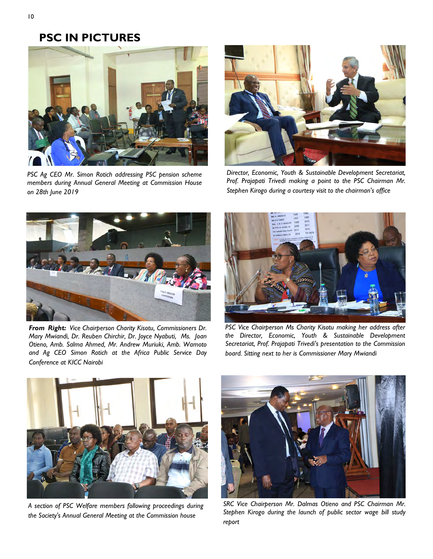# PSC IN PICTURES



PSC Ag CEO Mr. Simon Rotich addressing PSC pension scheme members during Annual General Meeting at Commission House on 28th June 2019



Director, Economic, Youth & Sustainable Development Secretariat, Prof. Prajapati Trivedi making a point to the PSC Chairman Mr. Stephen Kirogo during a courtesy visit to the chairman's office



From Right: Vice Chairperson Charity Kisotu, Commissioners Dr. Mary Mwiandi, Dr. Reuben Chirchir, Dr. Joyce Nyabuti, Ms. Joan Otieno, Amb. Salma Ahmed, Mr. Andrew Muriuki, Amb. Wamoto and Ag CEO Simon Rotich at the Africa Public Service Day Conference at KICC Nairobi



PSC Vice Chairperson Ms Charity Kisotu making her address after the Director, Economic, Youth & Sustainable Development Secretariat, Prof. Prajapati Trivedi's presentation to the Commission board. Sitting next to her is Commissioner Mary Mwiandi



A section of PSC Welfare members following proceedings during the Society's Annual General Meeting at the Commission house



SRC Vice Chairperson Mr. Dalmas Otieno and PSC Chairman Mr. Stephen Kirogo during the launch of public sector wage bill study report